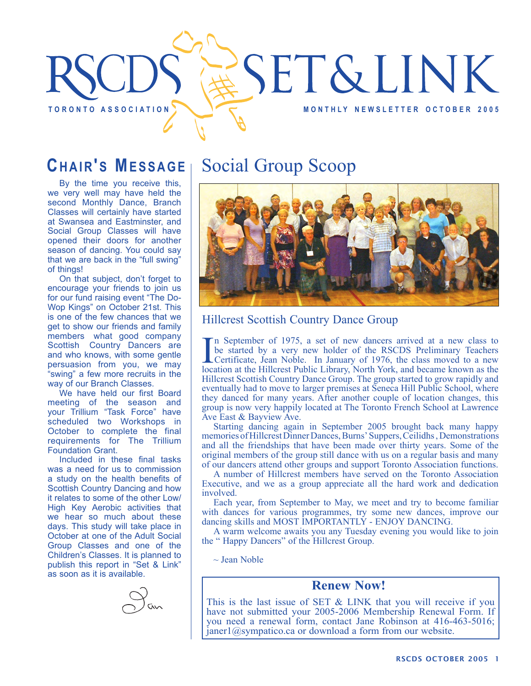

## **CHAIR'S MESSAGE**

By the time you receive this, we very well may have held the second Monthly Dance, Branch Classes will certainly have started at Swansea and Eastminster, and Social Group Classes will have opened their doors for another season of dancing. You could say that we are back in the "full swing" of things!

On that subject, don't forget to encourage your friends to join us for our fund raising event "The Do-Wop Kings" on October 21st. This is one of the few chances that we get to show our friends and family members what good company Scottish Country Dancers are and who knows, with some gentle persuasion from you, we may "swing" a few more recruits in the way of our Branch Classes.

We have held our first Board meeting of the season and your Trillium "Task Force" have scheduled two Workshops in October to complete the final requirements for The Trillium Foundation Grant.

Included in these final tasks was a need for us to commission a study on the health benefits of Scottish Country Dancing and how it relates to some of the other Low/ High Key Aerobic activities that we hear so much about these days. This study will take place in October at one of the Adult Social Group Classes and one of the Children's Classes. It is planned to publish this report in "Set & Link" as soon as it is available.



# Social Group Scoop



#### Hillcrest Scottish Country Dance Group

In September of 1975, a set of new dancers arrived at a new class to be started by a very new holder of the RSCDS Preliminary Teachers Certificate, Jean Noble. In January of 1976, the class moved to a new location at the H n September of 1975, a set of new dancers arrived at a new class to be started by a very new holder of the RSCDS Preliminary Teachers Certificate, Jean Noble. In January of 1976, the class moved to a new Hillcrest Scottish Country Dance Group. The group started to grow rapidly and eventually had to move to larger premises at Seneca Hill Public School, where they danced for many years. After another couple of location changes, this group is now very happily located at The Toronto French School at Lawrence Ave East & Bayview Ave.

Starting dancing again in September 2005 brought back many happy memories of Hillcrest Dinner Dances, Burns' Suppers, Ceilidhs, Demonstrations and all the friendships that have been made over thirty years. Some of the original members of the group still dance with us on a regular basis and many of our dancers attend other groups and support Toronto Association functions.

A number of Hillcrest members have served on the Toronto Association Executive, and we as a group appreciate all the hard work and dedication involved.

Each year, from September to May, we meet and try to become familiar with dances for various programmes, try some new dances, improve our dancing skills and MOST IMPORTANTLY - ENJOY DANCING.

A warm welcome awaits you any Tuesday evening you would like to join the " Happy Dancers" of the Hillcrest Group.

 $\sim$  Jean Noble

#### **Renew Now!**

This is the last issue of SET  $&$  LINK that you will receive if you have not submitted your 2005-2006 Membership Renewal Form. If you need a renewal form, contact Jane Robinson at 416-463-5016; janer1@sympatico.ca or download a form from our website.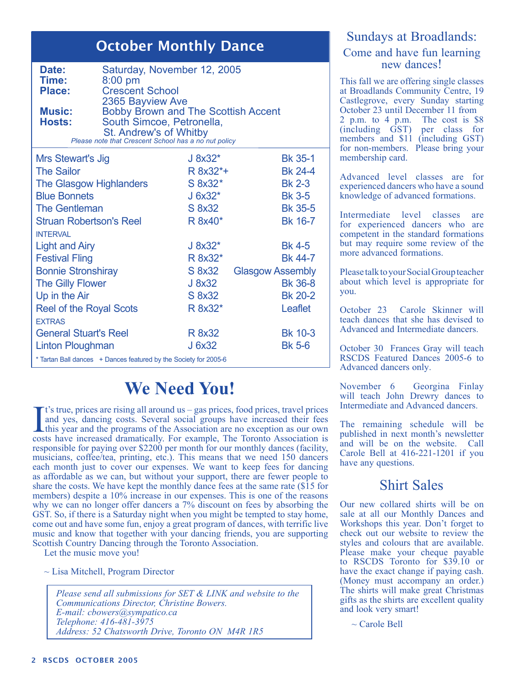## October Monthly Dance

| Date:<br>Time:<br><b>Place:</b>                                                                                                                                                                                 | $8:00$ pm<br><b>Crescent School</b> | Saturday, November 12, 2005 |                |  |
|-----------------------------------------------------------------------------------------------------------------------------------------------------------------------------------------------------------------|-------------------------------------|-----------------------------|----------------|--|
| 2365 Bayview Ave<br><b>Bobby Brown and The Scottish Accent</b><br><b>Music:</b><br>South Simcoe, Petronella,<br><b>Hosts:</b><br>St. Andrew's of Whitby<br>Please note that Crescent School has a no nut policy |                                     |                             |                |  |
| Mrs Stewart's Jig                                                                                                                                                                                               |                                     | J 8x32*                     | <b>Bk 35-1</b> |  |
| <b>The Sailor</b>                                                                                                                                                                                               |                                     | R 8x32*+                    | <b>Bk 24-4</b> |  |
|                                                                                                                                                                                                                 | The Glasgow Highlanders             | S 8x32*                     | <b>Bk 2-3</b>  |  |
|                                                                                                                                                                                                                 |                                     |                             |                |  |

| <b>THE ORDYON LIGHT COOPER</b>                                   | שמט ט   | ט בע                    |  |  |  |
|------------------------------------------------------------------|---------|-------------------------|--|--|--|
| <b>Blue Bonnets</b>                                              | J 6x32* | <b>Bk 3-5</b>           |  |  |  |
| <b>The Gentleman</b>                                             | S 8x32  | <b>Bk 35-5</b>          |  |  |  |
| <b>Struan Robertson's Reel</b>                                   | R 8x40* | <b>Bk 16-7</b>          |  |  |  |
| <b>INTERVAL</b>                                                  |         |                         |  |  |  |
| <b>Light and Airy</b>                                            | J 8x32* | <b>Bk 4-5</b>           |  |  |  |
| <b>Festival Fling</b>                                            | R 8x32* | <b>Bk 44-7</b>          |  |  |  |
| <b>Bonnie Stronshiray</b>                                        | S 8x32  | <b>Glasgow Assembly</b> |  |  |  |
| The Gilly Flower                                                 | J 8x32  | <b>Bk 36-8</b>          |  |  |  |
| Up in the Air                                                    | S 8x32  | <b>Bk 20-2</b>          |  |  |  |
| <b>Reel of the Royal Scots</b>                                   | R 8x32* | Leaflet                 |  |  |  |
| <b>EXTRAS</b>                                                    |         |                         |  |  |  |
| <b>General Stuart's Reel</b>                                     | R 8x32  | <b>Bk 10-3</b>          |  |  |  |
| <b>Linton Ploughman</b>                                          | J 6x32  | <b>Bk 5-6</b>           |  |  |  |
| * Tartan Ball dances + Dances featured by the Society for 2005-6 |         |                         |  |  |  |

# **We Need You!**

It's true, prices are rising all around us – gas prices, food prices, travel prices<br>and yes, dancing costs. Several social groups have increased their fees<br>this year and the programs of the Association are no exception as t's true, prices are rising all around us – gas prices, food prices, travel prices and yes, dancing costs. Several social groups have increased their fees costs have increased dramatically. For example, The Toronto Association is responsible for paying over \$2200 per month for our monthly dances (facility, musicians, coffee/tea, printing, etc.). This means that we need 150 dancers each month just to cover our expenses. We want to keep fees for dancing as affordable as we can, but without your support, there are fewer people to share the costs. We have kept the monthly dance fees at the same rate (\$15 for members) despite a 10% increase in our expenses. This is one of the reasons why we can no longer offer dancers a 7% discount on fees by absorbing the GST. So, if there is a Saturday night when you might be tempted to stay home, come out and have some fun, enjoy a great program of dances, with terrific live music and know that together with your dancing friends, you are supporting Scottish Country Dancing through the Toronto Association.

Let the music move you!

~ Lisa Mitchell, Program Director

*Please send all submissions for SET & LINK and website to the Communications Director, Christine Bowers. E-mail: cbowers@sympatico.ca Telephone: 416-481-3975 Address: 52 Chatsworth Drive, Toronto ON M4R 1R5*

#### Sundays at Broadlands: Come and have fun learning new dances!

This fall we are offering single classes at Broadlands Community Centre, 19 Castlegrove, every Sunday starting October 23 until December 11 from 2 p.m. to 4 p.m. The cost is \$8 (including GST) per class for members and \$11 (including GST) for non-members. Please bring your membership card.

Advanced level classes are for experienced dancers who have a sound knowledge of advanced formations.

Intermediate level classes are for experienced dancers who are competent in the standard formations but may require some review of the more advanced formations.

Please talk to your Social Group teacher about which level is appropriate for you.

October 23 Carole Skinner will teach dances that she has devised to Advanced and Intermediate dancers.

October 30 Frances Gray will teach RSCDS Featured Dances 2005-6 to Advanced dancers only.

November 6 Georgina Finlay will teach John Drewry dances to Intermediate and Advanced dancers.

The remaining schedule will be published in next month's newsletter and will be on the website. Call Carole Bell at 416-221-1201 if you have any questions.

### Shirt Sales

Our new collared shirts will be on sale at all our Monthly Dances and Workshops this year. Don't forget to check out our website to review the styles and colours that are available. Please make your cheque payable to RSCDS Toronto for \$39.10 or have the exact change if paying cash. (Money must accompany an order.) The shirts will make great Christmas gifts as the shirts are excellent quality and look very smart!

 $\sim$  Carole Bell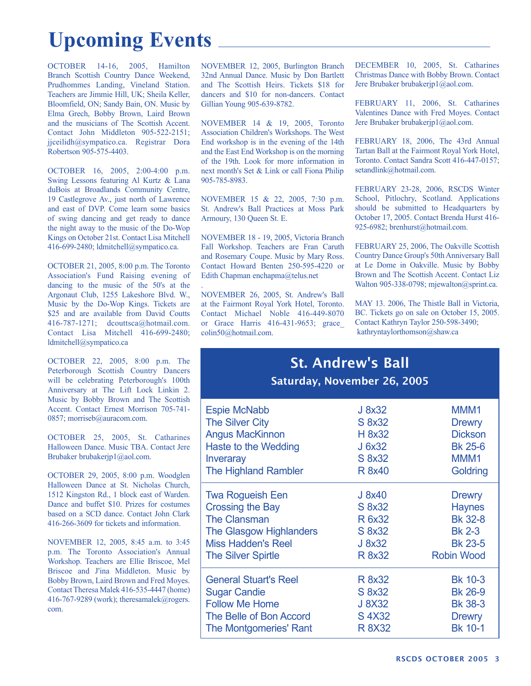# **Upcoming Events**

OCTOBER 14-16, 2005, Hamilton Branch Scottish Country Dance Weekend, Prudhommes Landing, Vineland Station. Teachers are Jimmie Hill, UK; Sheila Keller, Bloomfield, ON; Sandy Bain, ON. Music by Elma Grech, Bobby Brown, Laird Brown and the musicians of The Scottish Accent. Contact John Middleton 905-522-2151; jjceilidh@sympatico.ca. Registrar Dora Robertson 905-575-4403.

OCTOBER 16, 2005, 2:00-4:00 p.m. Swing Lessons featuring Al Kurtz & Lana duBois at Broadlands Community Centre, 19 Castlegrove Av., just north of Lawrence and east of DVP. Come learn some basics of swing dancing and get ready to dance the night away to the music of the Do-Wop Kings on October 21st. Contact Lisa Mitchell 416-699-2480; ldmitchell@sympatico.ca.

OCTOBER 21, 2005, 8:00 p.m. The Toronto Association's Fund Raising evening of dancing to the music of the 50's at the Argonaut Club, 1255 Lakeshore Blvd. W., Music by the Do-Wop Kings. Tickets are \$25 and are available from David Coutts 416-787-1271; dcouttsca@hotmail.com. Contact Lisa Mitchell 416-699-2480; ldmitchell@sympatico.ca

OCTOBER 22, 2005, 8:00 p.m. The Peterborough Scottish Country Dancers will be celebrating Peterborough's 100th Anniversary at The Lift Lock Linkin 2. Music by Bobby Brown and The Scottish Accent. Contact Ernest Morrison 705-741- 0857; morriseb@auracom.com.

OCTOBER 25, 2005, St. Catharines Halloween Dance. Music TBA. Contact Jere Brubaker brubakerjp1@aol.com.

OCTOBER 29, 2005, 8:00 p.m. Woodglen Halloween Dance at St. Nicholas Church, 1512 Kingston Rd., 1 block east of Warden. Dance and buffet \$10. Prizes for costumes based on a SCD dance. Contact John Clark 416-266-3609 for tickets and information.

NOVEMBER 12, 2005, 8:45 a.m. to 3:45 p.m. The Toronto Association's Annual Workshop. Teachers are Ellie Briscoe, Mel Briscoe and J'ina Middleton. Music by Bobby Brown, Laird Brown and Fred Moyes. Contact Theresa Malek 416-535-4447 (home) 416-767-9289 (work); there samalek@rogers. com.

NOVEMBER 12, 2005, Burlington Branch 32nd Annual Dance. Music by Don Bartlett and The Scottish Heirs. Tickets \$18 for dancers and \$10 for non-dancers. Contact Gillian Young 905-639-8782.

NOVEMBER 14 & 19, 2005, Toronto Association Children's Workshops. The West End workshop is in the evening of the 14th and the East End Workshop is on the morning of the 19th. Look for more information in next month's Set & Link or call Fiona Philip 905-785-8983.

NOVEMBER 15 & 22, 2005, 7:30 p.m. St. Andrew's Ball Practices at Moss Park Armoury, 130 Queen St. E.

NOVEMBER 18 - 19, 2005, Victoria Branch Fall Workshop. Teachers are Fran Caruth and Rosemary Coupe. Music by Mary Ross. Contact Howard Benten 250-595-4220 or Edith Chapman enchapma@telus.net

. NOVEMBER 26, 2005, St. Andrew's Ball at the Fairmont Royal York Hotel, Toronto. Contact Michael Noble 416-449-8070 or Grace Harris 416-431-9653; grace\_ colin50@hotmail.com.

DECEMBER 10, 2005, St. Catharines Christmas Dance with Bobby Brown. Contact Jere Brubaker brubakerjp1@aol.com.

FEBRUARY 11, 2006, St. Catharines Valentines Dance with Fred Moyes. Contact Jere Brubaker brubakerjp1@aol.com.

FEBRUARY 18, 2006, The 43rd Annual Tartan Ball at the Fairmont Royal York Hotel, Toronto. Contact Sandra Scott 416-447-0157; setandlink@hotmail.com.

FEBRUARY 23-28, 2006, RSCDS Winter School, Pitlochry, Scotland. Applications should be submitted to Headquarters by October 17, 2005. Contact Brenda Hurst 416- 925-6982; brenhurst@hotmail.com.

FEBRUARY 25, 2006, The Oakville Scottish Country Dance Group's 50th Anniversary Ball at Le Dome in Oakville. Music by Bobby Brown and The Scottish Accent. Contact Liz Walton 905-338-0798; mjewalton@sprint.ca.

MAY 13. 2006, The Thistle Ball in Victoria, BC. Tickets go on sale on October 15, 2005. Contact Kathryn Taylor 250-598-3490; kathryntaylorthomson@shaw.ca

### St. Andrew's Ball Saturday, November 26, 2005

| <b>Espie McNabb</b>           | J 8x32        | MMM <sub>1</sub>  |
|-------------------------------|---------------|-------------------|
| <b>The Silver City</b>        | S 8x32        | <b>Drewry</b>     |
| <b>Angus MacKinnon</b>        | H 8x32        | <b>Dickson</b>    |
| Haste to the Wedding          | J 6x32        | <b>Bk 25-6</b>    |
| Inveraray                     | S 8x32        | MMM <sub>1</sub>  |
| <b>The Highland Rambler</b>   | <b>R</b> 8x40 | Goldring          |
| <b>Twa Rogueish Een</b>       | J 8x40        | <b>Drewry</b>     |
| <b>Crossing the Bay</b>       | S 8x32        | <b>Haynes</b>     |
| <b>The Clansman</b>           | R 6x32        | <b>Bk 32-8</b>    |
| The Glasgow Highlanders       | S 8x32        | <b>Bk 2-3</b>     |
| <b>Miss Hadden's Reel</b>     | J 8x32        | <b>Bk 23-5</b>    |
| <b>The Silver Spirtle</b>     | R 8x32        | <b>Robin Wood</b> |
| <b>General Stuart's Reel</b>  | R 8x32        | <b>Bk 10-3</b>    |
| <b>Sugar Candie</b>           | S 8x32        | <b>Bk 26-9</b>    |
| <b>Follow Me Home</b>         | J 8X32        | <b>Bk 38-3</b>    |
| The Belle of Bon Accord       | S 4X32        | <b>Drewry</b>     |
| <b>The Montgomeries' Rant</b> | <b>R 8X32</b> | <b>Bk 10-1</b>    |